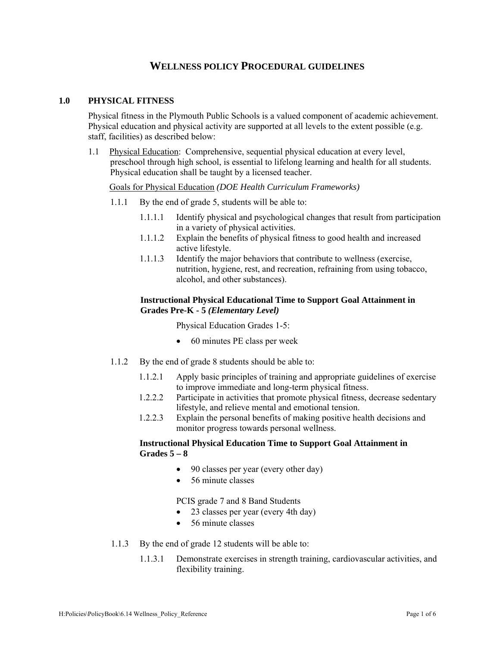# **WELLNESS POLICY PROCEDURAL GUIDELINES**

#### **1.0 PHYSICAL FITNESS**

 Physical fitness in the Plymouth Public Schools is a valued component of academic achievement. Physical education and physical activity are supported at all levels to the extent possible (e.g. staff, facilities) as described below:

1.1 Physical Education: Comprehensive, sequential physical education at every level, preschool through high school, is essential to lifelong learning and health for all students. Physical education shall be taught by a licensed teacher.

#### Goals for Physical Education *(DOE Health Curriculum Frameworks)*

- 1.1.1 By the end of grade 5, students will be able to:
	- 1.1.1.1 Identify physical and psychological changes that result from participation in a variety of physical activities.
	- 1.1.1.2 Explain the benefits of physical fitness to good health and increased active lifestyle.
	- 1.1.1.3 Identify the major behaviors that contribute to wellness (exercise, nutrition, hygiene, rest, and recreation, refraining from using tobacco, alcohol, and other substances).

#### **Instructional Physical Educational Time to Support Goal Attainment in Grades Pre-K - 5** *(Elementary Level)*

Physical Education Grades 1-5:

- 60 minutes PE class per week
- 1.1.2 By the end of grade 8 students should be able to:
	- 1.1.2.1 Apply basic principles of training and appropriate guidelines of exercise to improve immediate and long-term physical fitness.
	- 1.2.2.2 Participate in activities that promote physical fitness, decrease sedentary lifestyle, and relieve mental and emotional tension.
	- 1.2.2.3 Explain the personal benefits of making positive health decisions and monitor progress towards personal wellness.

## **Instructional Physical Education Time to Support Goal Attainment in Grades 5 – 8**

- 90 classes per year (every other day)
- 56 minute classes

PCIS grade 7 and 8 Band Students

- 23 classes per year (every 4th day)
- 56 minute classes
- 1.1.3 By the end of grade 12 students will be able to:
	- 1.1.3.1 Demonstrate exercises in strength training, cardiovascular activities, and flexibility training.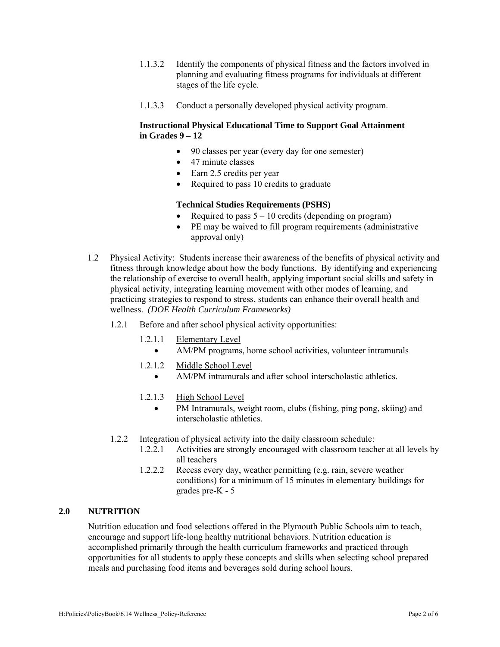- 1.1.3.2 Identify the components of physical fitness and the factors involved in planning and evaluating fitness programs for individuals at different stages of the life cycle.
- 1.1.3.3 Conduct a personally developed physical activity program.

## **Instructional Physical Educational Time to Support Goal Attainment in Grades 9 – 12**

- 90 classes per year (every day for one semester)
- 47 minute classes
- Earn 2.5 credits per year
- Required to pass 10 credits to graduate

#### **Technical Studies Requirements (PSHS)**

- Required to pass  $5 10$  credits (depending on program)
- PE may be waived to fill program requirements (administrative approval only)
- 1.2 Physical Activity: Students increase their awareness of the benefits of physical activity and fitness through knowledge about how the body functions. By identifying and experiencing the relationship of exercise to overall health, applying important social skills and safety in physical activity, integrating learning movement with other modes of learning, and practicing strategies to respond to stress, students can enhance their overall health and wellness. *(DOE Health Curriculum Frameworks)*
	- 1.2.1 Before and after school physical activity opportunities:
		- 1.2.1.1 Elementary Level
			- AM/PM programs, home school activities, volunteer intramurals
		- 1.2.1.2 Middle School Level
			- AM/PM intramurals and after school interscholastic athletics.
		- 1.2.1.3 High School Level
			- PM Intramurals, weight room, clubs (fishing, ping pong, skiing) and interscholastic athletics.
	- 1.2.2 Integration of physical activity into the daily classroom schedule:
		- 1.2.2.1 Activities are strongly encouraged with classroom teacher at all levels by all teachers
		- 1.2.2.2 Recess every day, weather permitting (e.g. rain, severe weather conditions) for a minimum of 15 minutes in elementary buildings for grades pre-K - 5

#### **2.0 NUTRITION**

Nutrition education and food selections offered in the Plymouth Public Schools aim to teach, encourage and support life-long healthy nutritional behaviors. Nutrition education is accomplished primarily through the health curriculum frameworks and practiced through opportunities for all students to apply these concepts and skills when selecting school prepared meals and purchasing food items and beverages sold during school hours.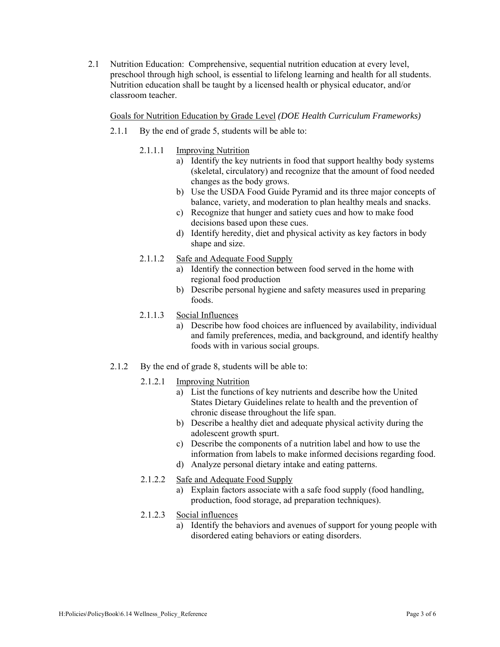2.1 Nutrition Education: Comprehensive, sequential nutrition education at every level, preschool through high school, is essential to lifelong learning and health for all students. Nutrition education shall be taught by a licensed health or physical educator, and/or classroom teacher.

#### Goals for Nutrition Education by Grade Level *(DOE Health Curriculum Frameworks)*

- 2.1.1 By the end of grade 5, students will be able to:
	- 2.1.1.1 Improving Nutrition
		- a) Identify the key nutrients in food that support healthy body systems (skeletal, circulatory) and recognize that the amount of food needed changes as the body grows.
		- b) Use the USDA Food Guide Pyramid and its three major concepts of balance, variety, and moderation to plan healthy meals and snacks.
		- c) Recognize that hunger and satiety cues and how to make food decisions based upon these cues.
		- d) Identify heredity, diet and physical activity as key factors in body shape and size.
	- 2.1.1.2 Safe and Adequate Food Supply
		- a) Identify the connection between food served in the home with regional food production
		- b) Describe personal hygiene and safety measures used in preparing foods.
	- 2.1.1.3 Social Influences
		- a) Describe how food choices are influenced by availability, individual and family preferences, media, and background, and identify healthy foods with in various social groups.
- 2.1.2 By the end of grade 8, students will be able to:
	- 2.1.2.1 Improving Nutrition
		- a) List the functions of key nutrients and describe how the United States Dietary Guidelines relate to health and the prevention of chronic disease throughout the life span.
		- b) Describe a healthy diet and adequate physical activity during the adolescent growth spurt.
		- c) Describe the components of a nutrition label and how to use the information from labels to make informed decisions regarding food.
		- d) Analyze personal dietary intake and eating patterns.
	- 2.1.2.2 Safe and Adequate Food Supply
		- a) Explain factors associate with a safe food supply (food handling, production, food storage, ad preparation techniques).
	- 2.1.2.3 Social influences
		- a) Identify the behaviors and avenues of support for young people with disordered eating behaviors or eating disorders.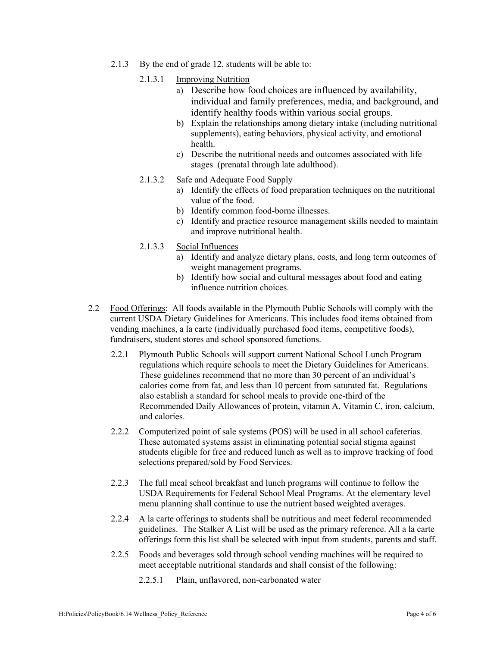- 2.1.3 By the end of grade 12, students will be able to:
	- 2.1.3.1 Improving Nutrition
		- a) Describe how food choices are influenced by availability, individual and family preferences, media, and background, and identify healthy foods within various social groups.
		- b) Explain the relationships among dietary intake (including nutritional supplements), eating behaviors, physical activity, and emotional health.
		- c) Describe the nutritional needs and outcomes associated with life stages (prenatal through late adulthood).
	- 2.1.3.2 Safe and Adequate Food Supply
		- a) Identify the effects of food preparation techniques on the nutritional value of the food.
		- b) Identify common food-borne illnesses.
		- c) Identify and practice resource management skills needed to maintain and improve nutritional health.
	- 2.1.3.3 Social Influences
		- a) Identify and analyze dietary plans, costs, and long term outcomes of weight management programs.
		- b) Identify how social and cultural messages about food and eating influence nutrition choices.
- 2.2 Food Offerings: All foods available in the Plymouth Public Schools will comply with the current USDA Dietary Guidelines for Americans. This includes food items obtained from vending machines, a la carte (individually purchased food items, competitive foods), fundraisers, student stores and school sponsored functions.
	- 2.2.1 Plymouth Public Schools will support current National School Lunch Program regulations which require schools to meet the Dietary Guidelines for Americans. These guidelines recommend that no more than 30 percent of an individual's calories come from fat, and less than 10 percent from saturated fat. Regulations also establish a standard for school meals to provide one-third of the Recommended Daily Allowances of protein, vitamin A, Vitamin C, iron, calcium, and calories.
	- 2.2.2 Computerized point of sale systems (POS) will be used in all school cafeterias. These automated systems assist in eliminating potential social stigma against students eligible for free and reduced lunch as well as to improve tracking of food selections prepared/sold by Food Services.
	- 2.2.3 The full meal school breakfast and lunch programs will continue to follow the USDA Requirements for Federal School Meal Programs. At the elementary level menu planning shall continue to use the nutrient based weighted averages.
	- 2.2.4 A la carte offerings to students shall be nutritious and meet federal recommended guidelines. The Stalker A List will be used as the primary reference. All a la carte offerings form this list shall be selected with input from students, parents and staff.
	- 2.2.5 Foods and beverages sold through school vending machines will be required to meet acceptable nutritional standards and shall consist of the following:
		- 2.2.5.1 Plain, unflavored, non-carbonated water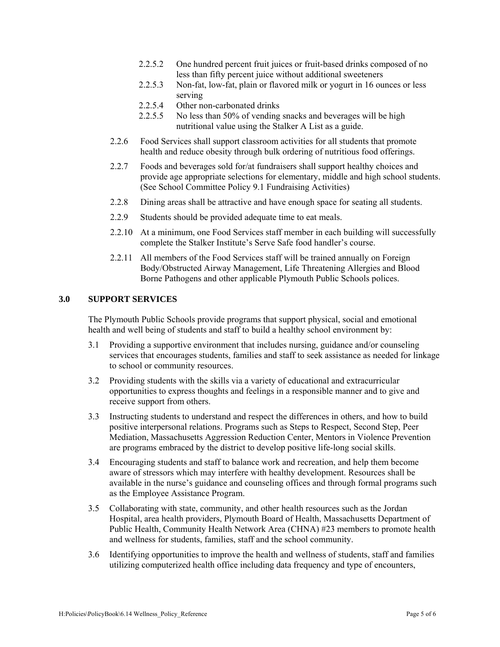- 2.2.5.2 One hundred percent fruit juices or fruit-based drinks composed of no less than fifty percent juice without additional sweeteners
- 2.2.5.3 Non-fat, low-fat, plain or flavored milk or yogurt in 16 ounces or less serving
- 2.2.5.4 Other non-carbonated drinks
- 2.2.5.5 No less than 50% of vending snacks and beverages will be high nutritional value using the Stalker A List as a guide.
- 2.2.6 Food Services shall support classroom activities for all students that promote health and reduce obesity through bulk ordering of nutritious food offerings.
- 2.2.7 Foods and beverages sold for/at fundraisers shall support healthy choices and provide age appropriate selections for elementary, middle and high school students. (See School Committee Policy 9.1 Fundraising Activities)
- 2.2.8 Dining areas shall be attractive and have enough space for seating all students.
- 2.2.9 Students should be provided adequate time to eat meals.
- 2.2.10 At a minimum, one Food Services staff member in each building will successfully complete the Stalker Institute's Serve Safe food handler's course.
- 2.2.11 All members of the Food Services staff will be trained annually on Foreign Body/Obstructed Airway Management, Life Threatening Allergies and Blood Borne Pathogens and other applicable Plymouth Public Schools polices.

# **3.0 SUPPORT SERVICES**

The Plymouth Public Schools provide programs that support physical, social and emotional health and well being of students and staff to build a healthy school environment by:

- 3.1 Providing a supportive environment that includes nursing, guidance and/or counseling services that encourages students, families and staff to seek assistance as needed for linkage to school or community resources.
- 3.2 Providing students with the skills via a variety of educational and extracurricular opportunities to express thoughts and feelings in a responsible manner and to give and receive support from others.
- 3.3 Instructing students to understand and respect the differences in others, and how to build positive interpersonal relations. Programs such as Steps to Respect, Second Step, Peer Mediation, Massachusetts Aggression Reduction Center, Mentors in Violence Prevention are programs embraced by the district to develop positive life-long social skills.
- 3.4 Encouraging students and staff to balance work and recreation, and help them become aware of stressors which may interfere with healthy development. Resources shall be available in the nurse's guidance and counseling offices and through formal programs such as the Employee Assistance Program.
- 3.5 Collaborating with state, community, and other health resources such as the Jordan Hospital, area health providers, Plymouth Board of Health, Massachusetts Department of Public Health, Community Health Network Area (CHNA) #23 members to promote health and wellness for students, families, staff and the school community.
- 3.6 Identifying opportunities to improve the health and wellness of students, staff and families utilizing computerized health office including data frequency and type of encounters,